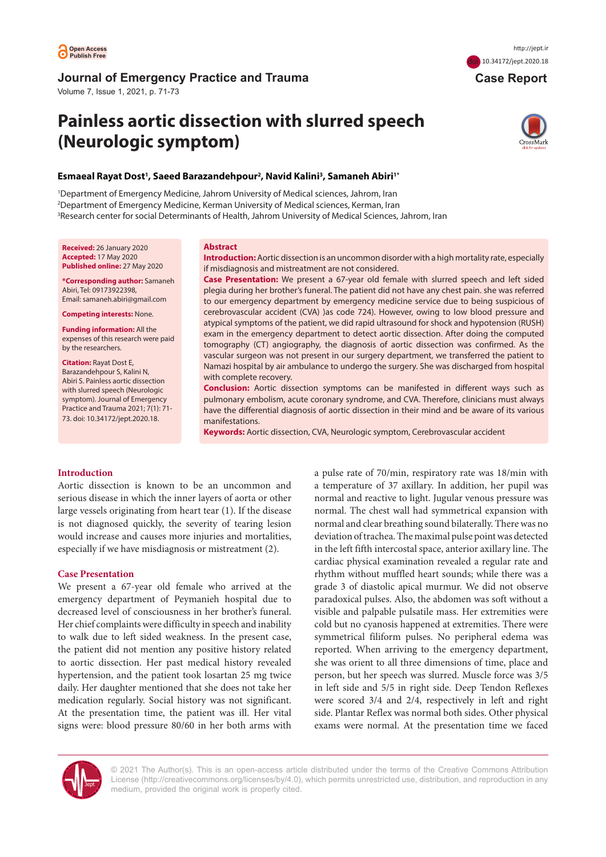

# **Journal of Emergency Practice and Trauma**

Volume 7, Issue 1, 2021, p. 71-73

# **Painless aortic dissection with slurred speech (Neurologic symptom)**



 **Case Report**

doi [10.34172/jept.2020.18](https://doi.org/10.34172/jept.2020.18)

# **Esmaeal Rayat Dost1 , Saeed Barazandehpour2 , Navid Kalini3 , Samaneh Abiri1\***

1 Department of Emergency Medicine, Jahrom University of Medical sciences, Jahrom, Iran 2 Department of Emergency Medicine, Kerman University of Medical sciences, Kerman, Iran 3 Research center for social Determinants of Health, Jahrom University of Medical Sciences, Jahrom, Iran

**Received:** 26 January 2020 **Accepted:** 17 May 2020 **Published online:** 27 May 2020

**\*Corresponding author:** Samaneh Abiri, Tel: 09173922398, Email: samaneh.abiri@gmail.com

**Competing interests:** None.

**Funding information:** All the expenses of this research were paid by the researchers.

**Citation:** Rayat Dost E, Barazandehpour S, Kalini N, Abiri S. Painless aortic dissection with slurred speech (Neurologic symptom). Journal of Emergency Practice and Trauma 2021; 7(1): 71- 73. doi: 10.34172/jept.2020.18.

#### **Abstract**

**Introduction:** Aortic dissection is an uncommon disorder with a high mortality rate, especially if misdiagnosis and mistreatment are not considered.

**Case Presentation:** We present a 67-year old female with slurred speech and left sided plegia during her brother's funeral. The patient did not have any chest pain. she was referred to our emergency department by emergency medicine service due to being suspicious of cerebrovascular accident (CVA) )as code 724). However, owing to low blood pressure and atypical symptoms of the patient, we did rapid ultrasound for shock and hypotension (RUSH) exam in the emergency department to detect aortic dissection. After doing the computed tomography (CT) angiography, the diagnosis of aortic dissection was confirmed. As the vascular surgeon was not present in our surgery department, we transferred the patient to Namazi hospital by air ambulance to undergo the surgery. She was discharged from hospital with complete recovery.

**Conclusion:** Aortic dissection symptoms can be manifested in different ways such as pulmonary embolism, acute coronary syndrome, and CVA. Therefore, clinicians must always have the differential diagnosis of aortic dissection in their mind and be aware of its various manifestations.

**Keywords:** Aortic dissection, CVA, Neurologic symptom, Cerebrovascular accident

# **Introduction**

Aortic dissection is known to be an uncommon and serious disease in which the inner layers of aorta or other large vessels originating from heart tear (1). If the disease is not diagnosed quickly, the severity of tearing lesion would increase and causes more injuries and mortalities, especially if we have misdiagnosis or mistreatment (2).

## **Case Presentation**

We present a 67-year old female who arrived at the emergency department of Peymanieh hospital due to decreased level of consciousness in her brother's funeral. Her chief complaints were difficulty in speech and inability to walk due to left sided weakness. In the present case, the patient did not mention any positive history related to aortic dissection. Her past medical history revealed hypertension, and the patient took losartan 25 mg twice daily. Her daughter mentioned that she does not take her medication regularly. Social history was not significant. At the presentation time, the patient was ill. Her vital signs were: blood pressure 80/60 in her both arms with

a pulse rate of 70/min, respiratory rate was 18/min with a temperature of 37 axillary. In addition, her pupil was normal and reactive to light. Jugular venous pressure was normal. The chest wall had symmetrical expansion with normal and clear breathing sound bilaterally. There was no deviation of trachea. The maximal pulse point was detected in the left fifth intercostal space, anterior axillary line. The cardiac physical examination revealed a regular rate and rhythm without muffled heart sounds; while there was a grade 3 of diastolic apical murmur. We did not observe paradoxical pulses. Also, the abdomen was soft without a visible and palpable pulsatile mass. Her extremities were cold but no cyanosis happened at extremities. There were symmetrical filiform pulses. No peripheral edema was reported. When arriving to the emergency department, she was orient to all three dimensions of time, place and person, but her speech was slurred. Muscle force was 3/5 in left side and 5/5 in right side. Deep Tendon Reflexes were scored 3/4 and 2/4, respectively in left and right side. Plantar Reflex was normal both sides. Other physical exams were normal. At the presentation time we faced



© 2021 The Author(s). This is an open-access article distributed under the terms of the Creative Commons Attribution License [\(http://creativecommons.org/licenses/by/4.0](http://creativecommons.org/licenses/by/4.0)), which permits unrestricted use, distribution, and reproduction in any medium, provided the original work is properly cited.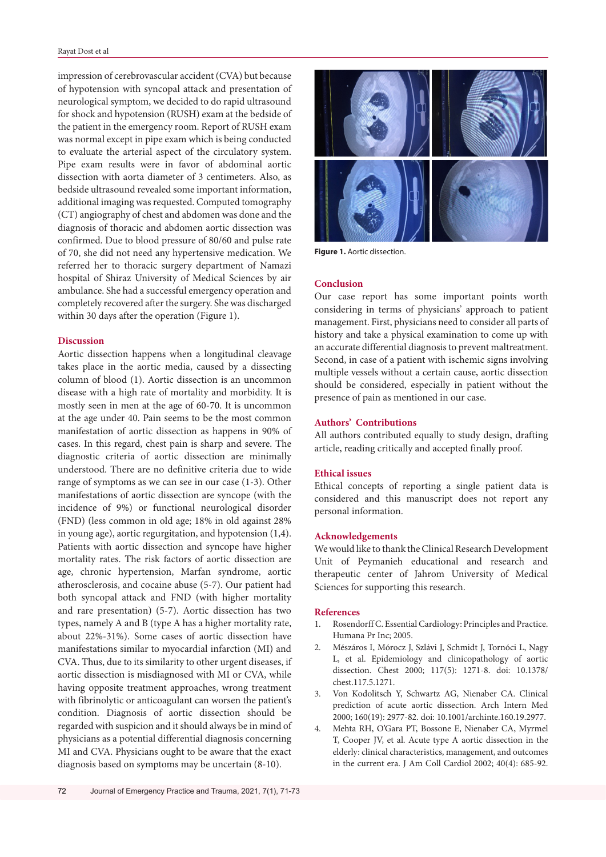impression of cerebrovascular accident (CVA) but because of hypotension with syncopal attack and presentation of neurological symptom, we decided to do rapid ultrasound for shock and hypotension (RUSH) exam at the bedside of the patient in the emergency room. Report of RUSH exam was normal except in pipe exam which is being conducted to evaluate the arterial aspect of the circulatory system. Pipe exam results were in favor of abdominal aortic dissection with aorta diameter of 3 centimeters. Also, as bedside ultrasound revealed some important information, additional imaging was requested. Computed tomography (CT) angiography of chest and abdomen was done and the diagnosis of thoracic and abdomen aortic dissection was confirmed. Due to blood pressure of 80/60 and pulse rate of 70, she did not need any hypertensive medication. We referred her to thoracic surgery department of Namazi hospital of Shiraz University of Medical Sciences by air ambulance. She had a successful emergency operation and completely recovered after the surgery. She was discharged within 30 days after the operation (Figure 1).

## **Discussion**

Aortic dissection happens when a longitudinal cleavage takes place in the aortic media, caused by a dissecting column of blood (1). Aortic dissection is an uncommon disease with a high rate of mortality and morbidity. It is mostly seen in men at the age of 60-70. It is uncommon at the age under 40. Pain seems to be the most common manifestation of aortic dissection as happens in 90% of cases. In this regard, chest pain is sharp and severe. The diagnostic criteria of aortic dissection are minimally understood. There are no definitive criteria due to wide range of symptoms as we can see in our case (1-3). Other manifestations of aortic dissection are syncope (with the incidence of 9%) or functional neurological disorder (FND) (less common in old age; 18% in old against 28% in young age), aortic regurgitation, and hypotension (1,4). Patients with aortic dissection and syncope have higher mortality rates. The risk factors of aortic dissection are age, chronic hypertension, Marfan syndrome, aortic atherosclerosis, and cocaine abuse (5-7). Our patient had both syncopal attack and FND (with higher mortality and rare presentation) (5-7). Aortic dissection has two types, namely A and B (type A has a higher mortality rate, about 22%-31%). Some cases of aortic dissection have manifestations similar to myocardial infarction (MI) and CVA. Thus, due to its similarity to other urgent diseases, if aortic dissection is misdiagnosed with MI or CVA, while having opposite treatment approaches, wrong treatment with fibrinolytic or anticoagulant can worsen the patient's condition. Diagnosis of aortic dissection should be regarded with suspicion and it should always be in mind of physicians as a potential differential diagnosis concerning MI and CVA. Physicians ought to be aware that the exact diagnosis based on symptoms may be uncertain (8-10).



**Figure 1.** Aortic dissection.

## **Conclusion**

Our case report has some important points worth considering in terms of physicians' approach to patient management. First, physicians need to consider all parts of history and take a physical examination to come up with an accurate differential diagnosis to prevent maltreatment. Second, in case of a patient with ischemic signs involving multiple vessels without a certain cause, aortic dissection should be considered, especially in patient without the presence of pain as mentioned in our case.

#### **Authors' Contributions**

All authors contributed equally to study design, drafting article, reading critically and accepted finally proof.

#### **Ethical issues**

Ethical concepts of reporting a single patient data is considered and this manuscript does not report any personal information.

#### **Acknowledgements**

We would like to thank the Clinical Research Development Unit of Peymanieh educational and research and therapeutic center of Jahrom University of Medical Sciences for supporting this research.

#### **References**

- 1. Rosendorff C. Essential Cardiology: Principles and Practice. Humana Pr Inc; 2005.
- 2. Mészáros I, Mórocz J, Szlávi J, Schmidt J, Tornóci L, Nagy L, et al. Epidemiology and clinicopathology of aortic dissection. Chest 2000; 117(5): 1271-8. doi: 10.1378/ chest.117.5.1271.
- 3. Von Kodolitsch Y, Schwartz AG, Nienaber CA. Clinical prediction of acute aortic dissection. Arch Intern Med 2000; 160(19): 2977-82. doi: 10.1001/archinte.160.19.2977.
- 4. Mehta RH, O'Gara PT, Bossone E, Nienaber CA, Myrmel T, Cooper JV, et al. Acute type A aortic dissection in the elderly: clinical characteristics, management, and outcomes in the current era. J Am Coll Cardiol 2002; 40(4): 685-92.